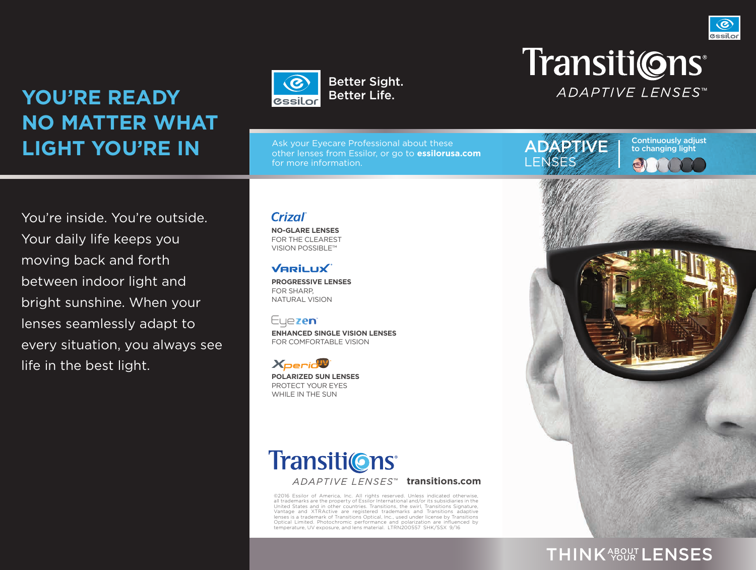

# **YOU'RE READY NO MATTER WHAT LIGHT YOU'RE IN**



Ask your Eyecare Professional about these other lenses from Essilor, or go to **essilorusa.com** for more information.

### **Crizal**

**NO-GLARE LENSES** FOR THE CLEAREST VISION POSSIBLE™

### VariLUX<sup>\*</sup>

**PROGRESSIVE LENSES** FOR SHARP, NATURAL VISION

### Eyezenî

**ENHANCED SINGLE VISION LENSES** FOR COMFORTABLE VISION

### Xperid<sup>W</sup>

**POLARIZED SUN LENSES** PROTECT YOUR EYES WHILE IN THE SUN

### Transiti**ons** ADAPTIVE LENSES<sup>™</sup> transitions.com

©2016 Essilor of America, Inc. All rights reserved. Unless indicated otherwise all trademarks are the property of Essilor International and/or its subsidiaries in the United States and in other countries. Transitions, the swirl, Transitions Signature, Vantage and XTRActive are registered trademarks and Transitions adaptive lenses is a trademark of Transitions Optical, Inc., used under license by Transitions Optical Limited. Photochromic performance and polarization are influenced by temperature, UV exposure, and lens material. LTRN200557 SHK/SSX 9/16





ADAPTIVE LENSES™

Transiti@ns®



### THINK<sup>ABOUT</sup> LENSES

Your daily life keeps you moving back and forth between indoor light and bright sunshine. When your lenses seamlessly adapt to every situation, you always see life in the best light.

You're inside. You're outside.